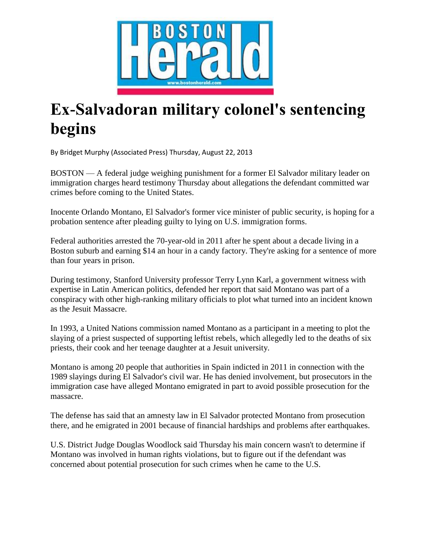

## **Ex-Salvadoran military colonel's sentencing begins**

By Bridget Murphy (Associated Press) Thursday, August 22, 2013

BOSTON — A federal judge weighing punishment for a former El Salvador military leader on immigration charges heard testimony Thursday about allegations the defendant committed war crimes before coming to the United States.

Inocente Orlando Montano, El Salvador's former vice minister of public security, is hoping for a probation sentence after pleading guilty to lying on U.S. immigration forms.

Federal authorities arrested the 70-year-old in 2011 after he spent about a decade living in a Boston suburb and earning \$14 an hour in a candy factory. They're asking for a sentence of more than four years in prison.

During testimony, Stanford University professor Terry Lynn Karl, a government witness with expertise in Latin American politics, defended her report that said Montano was part of a conspiracy with other high-ranking military officials to plot what turned into an incident known as the Jesuit Massacre.

In 1993, a United Nations commission named Montano as a participant in a meeting to plot the slaying of a priest suspected of supporting leftist rebels, which allegedly led to the deaths of six priests, their cook and her teenage daughter at a Jesuit university.

Montano is among 20 people that authorities in Spain indicted in 2011 in connection with the 1989 slayings during El Salvador's civil war. He has denied involvement, but prosecutors in the immigration case have alleged Montano emigrated in part to avoid possible prosecution for the massacre.

The defense has said that an amnesty law in El Salvador protected Montano from prosecution there, and he emigrated in 2001 because of financial hardships and problems after earthquakes.

U.S. District Judge Douglas Woodlock said Thursday his main concern wasn't to determine if Montano was involved in human rights violations, but to figure out if the defendant was concerned about potential prosecution for such crimes when he came to the U.S.